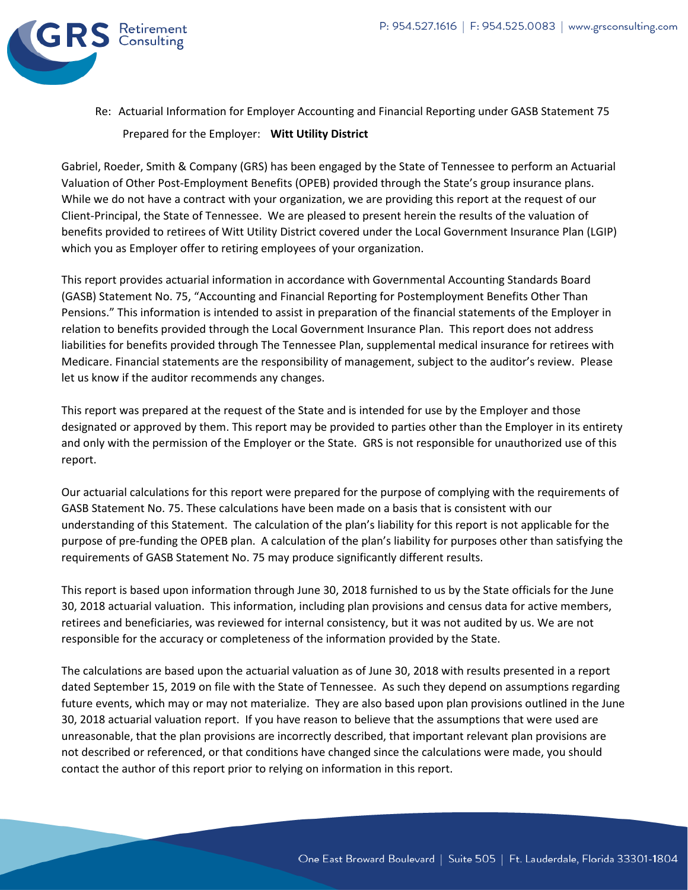

Re: Actuarial Information for Employer Accounting and Financial Reporting under GASB Statement 75 Prepared for the Employer: **Witt Utility District**

Gabriel, Roeder, Smith & Company (GRS) has been engaged by the State of Tennessee to perform an Actuarial Valuation of Other Post-Employment Benefits (OPEB) provided through the State's group insurance plans. While we do not have a contract with your organization, we are providing this report at the request of our Client-Principal, the State of Tennessee. We are pleased to present herein the results of the valuation of benefits provided to retirees of Witt Utility District covered under the Local Government Insurance Plan (LGIP) which you as Employer offer to retiring employees of your organization.

This report provides actuarial information in accordance with Governmental Accounting Standards Board (GASB) Statement No. 75, "Accounting and Financial Reporting for Postemployment Benefits Other Than Pensions." This information is intended to assist in preparation of the financial statements of the Employer in relation to benefits provided through the Local Government Insurance Plan. This report does not address liabilities for benefits provided through The Tennessee Plan, supplemental medical insurance for retirees with Medicare. Financial statements are the responsibility of management, subject to the auditor's review. Please let us know if the auditor recommends any changes.

This report was prepared at the request of the State and is intended for use by the Employer and those designated or approved by them. This report may be provided to parties other than the Employer in its entirety and only with the permission of the Employer or the State. GRS is not responsible for unauthorized use of this report.

Our actuarial calculations for this report were prepared for the purpose of complying with the requirements of GASB Statement No. 75. These calculations have been made on a basis that is consistent with our understanding of this Statement. The calculation of the plan's liability for this report is not applicable for the purpose of pre-funding the OPEB plan. A calculation of the plan's liability for purposes other than satisfying the requirements of GASB Statement No. 75 may produce significantly different results.

This report is based upon information through June 30, 2018 furnished to us by the State officials for the June 30, 2018 actuarial valuation. This information, including plan provisions and census data for active members, retirees and beneficiaries, was reviewed for internal consistency, but it was not audited by us. We are not responsible for the accuracy or completeness of the information provided by the State.

The calculations are based upon the actuarial valuation as of June 30, 2018 with results presented in a report dated September 15, 2019 on file with the State of Tennessee. As such they depend on assumptions regarding future events, which may or may not materialize. They are also based upon plan provisions outlined in the June 30, 2018 actuarial valuation report. If you have reason to believe that the assumptions that were used are unreasonable, that the plan provisions are incorrectly described, that important relevant plan provisions are not described or referenced, or that conditions have changed since the calculations were made, you should contact the author of this report prior to relying on information in this report.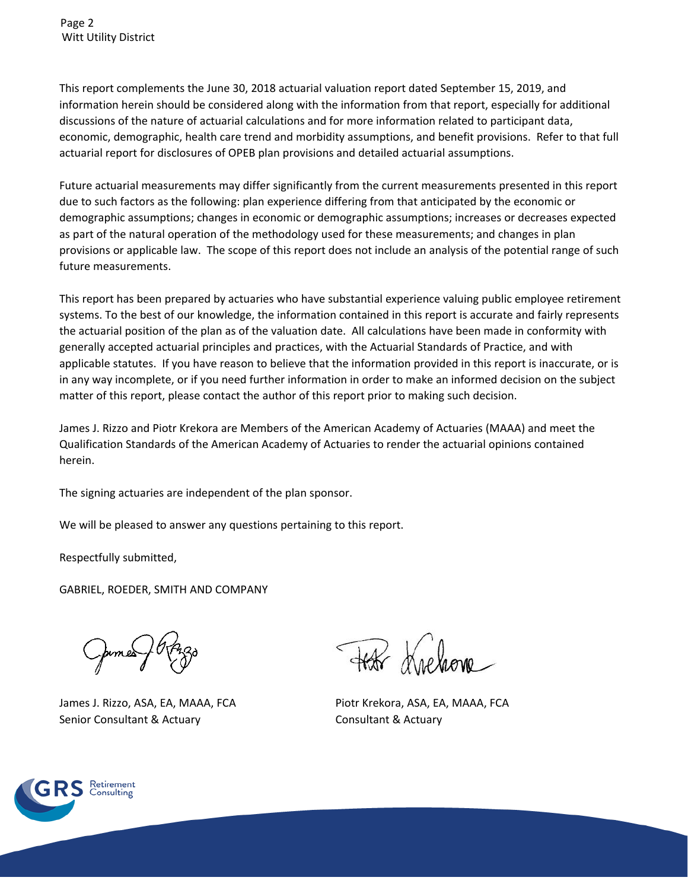This report complements the June 30, 2018 actuarial valuation report dated September 15, 2019, and information herein should be considered along with the information from that report, especially for additional discussions of the nature of actuarial calculations and for more information related to participant data, economic, demographic, health care trend and morbidity assumptions, and benefit provisions. Refer to that full actuarial report for disclosures of OPEB plan provisions and detailed actuarial assumptions.

Future actuarial measurements may differ significantly from the current measurements presented in this report due to such factors as the following: plan experience differing from that anticipated by the economic or demographic assumptions; changes in economic or demographic assumptions; increases or decreases expected as part of the natural operation of the methodology used for these measurements; and changes in plan provisions or applicable law. The scope of this report does not include an analysis of the potential range of such future measurements.

This report has been prepared by actuaries who have substantial experience valuing public employee retirement systems. To the best of our knowledge, the information contained in this report is accurate and fairly represents the actuarial position of the plan as of the valuation date. All calculations have been made in conformity with generally accepted actuarial principles and practices, with the Actuarial Standards of Practice, and with applicable statutes. If you have reason to believe that the information provided in this report is inaccurate, or is in any way incomplete, or if you need further information in order to make an informed decision on the subject matter of this report, please contact the author of this report prior to making such decision.

James J. Rizzo and Piotr Krekora are Members of the American Academy of Actuaries (MAAA) and meet the Qualification Standards of the American Academy of Actuaries to render the actuarial opinions contained herein.

The signing actuaries are independent of the plan sponsor.

We will be pleased to answer any questions pertaining to this report.

Respectfully submitted,

GABRIEL, ROEDER, SMITH AND COMPANY

James J. Rizzo, ASA, EA, MAAA, FCA Piotr Krekora, ASA, EA, MAAA, FCA Senior Consultant & Actuary Consultant & Actuary

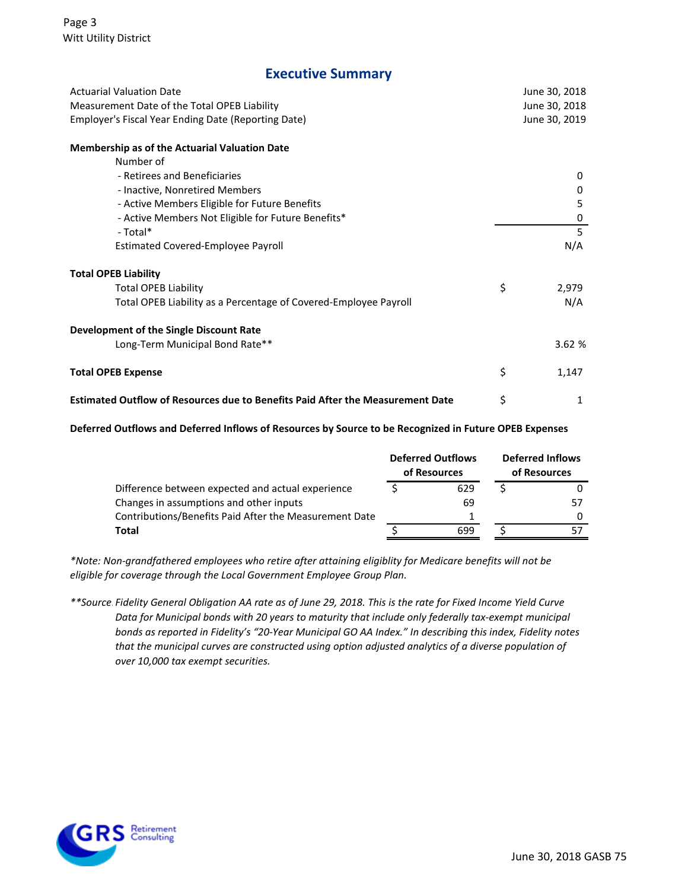### **Executive Summary**

| <b>Actuarial Valuation Date</b>                                                       |               | June 30, 2018 |  |
|---------------------------------------------------------------------------------------|---------------|---------------|--|
| Measurement Date of the Total OPEB Liability                                          |               | June 30, 2018 |  |
| Employer's Fiscal Year Ending Date (Reporting Date)                                   | June 30, 2019 |               |  |
| <b>Membership as of the Actuarial Valuation Date</b>                                  |               |               |  |
| Number of                                                                             |               |               |  |
| - Retirees and Beneficiaries                                                          |               | 0             |  |
| - Inactive, Nonretired Members                                                        |               | 0             |  |
| - Active Members Eligible for Future Benefits                                         |               | 5             |  |
| - Active Members Not Eligible for Future Benefits*                                    |               | 0             |  |
| - Total*                                                                              |               | 5             |  |
| <b>Estimated Covered-Employee Payroll</b>                                             |               | N/A           |  |
| <b>Total OPEB Liability</b>                                                           |               |               |  |
| <b>Total OPEB Liability</b>                                                           | \$            | 2,979         |  |
| Total OPEB Liability as a Percentage of Covered-Employee Payroll                      |               | N/A           |  |
| Development of the Single Discount Rate                                               |               |               |  |
| Long-Term Municipal Bond Rate**                                                       |               | 3.62%         |  |
| <b>Total OPEB Expense</b>                                                             | \$            | 1,147         |  |
| <b>Estimated Outflow of Resources due to Benefits Paid After the Measurement Date</b> | \$            | 1             |  |

#### **Deferred Outflows and Deferred Inflows of Resources by Source to be Recognized in Future OPEB Expenses**

|                                                        | <b>Deferred Outflows</b><br>of Resources | <b>Deferred Inflows</b><br>of Resources |    |  |
|--------------------------------------------------------|------------------------------------------|-----------------------------------------|----|--|
| Difference between expected and actual experience      | 629                                      |                                         |    |  |
| Changes in assumptions and other inputs                | 69                                       |                                         | 57 |  |
| Contributions/Benefits Paid After the Measurement Date |                                          |                                         |    |  |
| Total                                                  | 699                                      |                                         |    |  |

*\*Note: Non-grandfathered employees who retire after attaining eligiblity for Medicare benefits will not be eligible for coverage through the Local Government Employee Group Plan.*

*\*\*Source:Fidelity General Obligation AA rate as of June 29, 2018. This is the rate for Fixed Income Yield Curve Data for Municipal bonds with 20 years to maturity that include only federally tax‐exempt municipal bonds as reported in Fidelity's "20‐Year Municipal GO AA Index." In describing this index, Fidelity notes that the municipal curves are constructed using option adjusted analytics of a diverse population of over 10,000 tax exempt securities.*

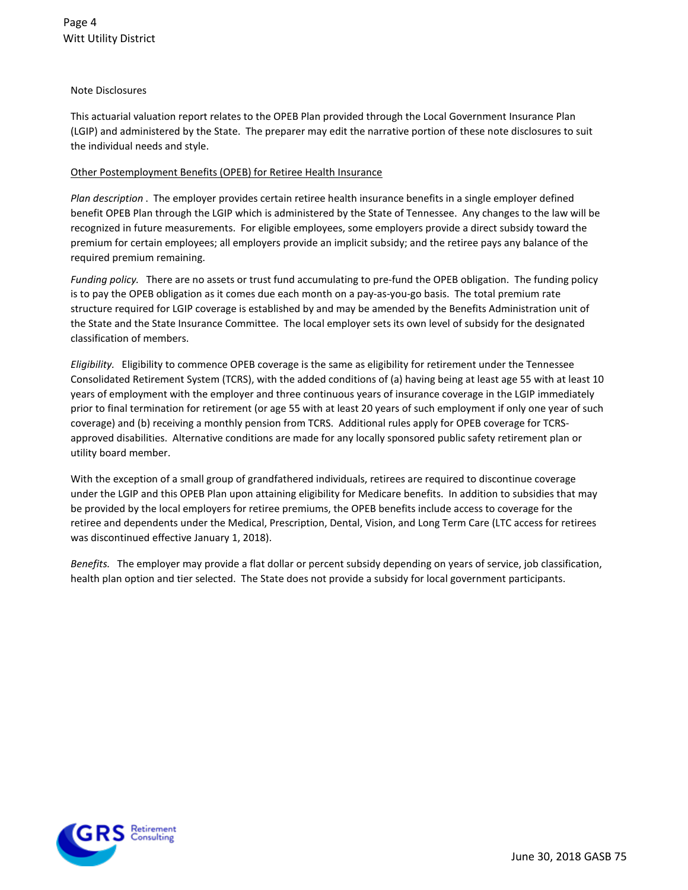#### Note Disclosures

This actuarial valuation report relates to the OPEB Plan provided through the Local Government Insurance Plan (LGIP) and administered by the State. The preparer may edit the narrative portion of these note disclosures to suit the individual needs and style.

#### Other Postemployment Benefits (OPEB) for Retiree Health Insurance

*Plan description* . The employer provides certain retiree health insurance benefits in a single employer defined benefit OPEB Plan through the LGIP which is administered by the State of Tennessee. Any changes to the law will be recognized in future measurements. For eligible employees, some employers provide a direct subsidy toward the premium for certain employees; all employers provide an implicit subsidy; and the retiree pays any balance of the required premium remaining.

*Funding policy.* There are no assets or trust fund accumulating to pre-fund the OPEB obligation. The funding policy is to pay the OPEB obligation as it comes due each month on a pay-as-you-go basis. The total premium rate structure required for LGIP coverage is established by and may be amended by the Benefits Administration unit of the State and the State Insurance Committee. The local employer sets its own level of subsidy for the designated classification of members.

*Eligibility.* Eligibility to commence OPEB coverage is the same as eligibility for retirement under the Tennessee Consolidated Retirement System (TCRS), with the added conditions of (a) having being at least age 55 with at least 10 years of employment with the employer and three continuous years of insurance coverage in the LGIP immediately prior to final termination for retirement (or age 55 with at least 20 years of such employment if only one year of such coverage) and (b) receiving a monthly pension from TCRS. Additional rules apply for OPEB coverage for TCRSapproved disabilities. Alternative conditions are made for any locally sponsored public safety retirement plan or utility board member.

With the exception of a small group of grandfathered individuals, retirees are required to discontinue coverage under the LGIP and this OPEB Plan upon attaining eligibility for Medicare benefits. In addition to subsidies that may be provided by the local employers for retiree premiums, the OPEB benefits include access to coverage for the retiree and dependents under the Medical, Prescription, Dental, Vision, and Long Term Care (LTC access for retirees was discontinued effective January 1, 2018).

*Benefits.* The employer may provide a flat dollar or percent subsidy depending on years of service, job classification, health plan option and tier selected. The State does not provide a subsidy for local government participants.

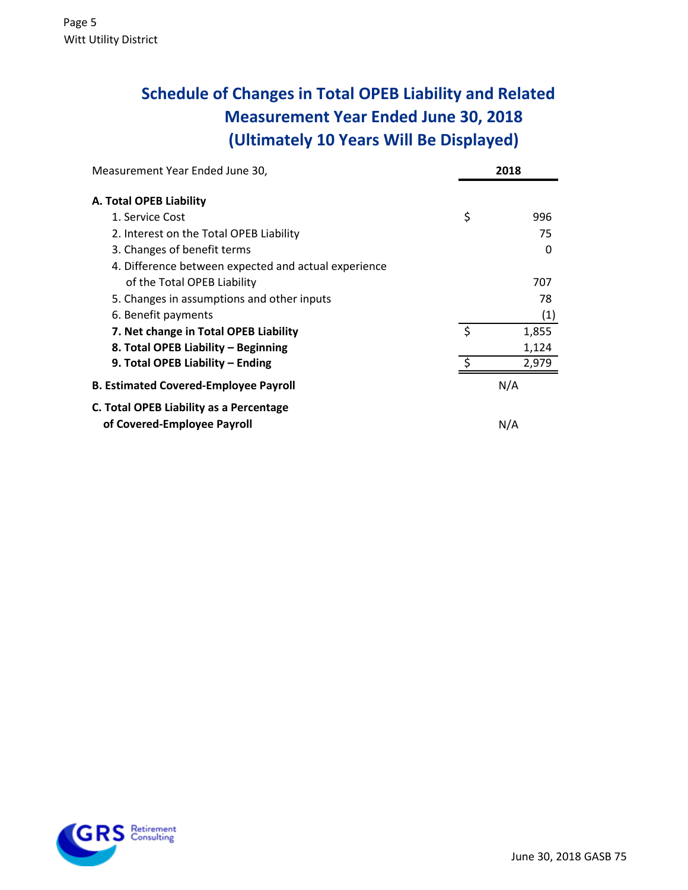# **Schedule of Changes in Total OPEB Liability and Related Measurement Year Ended June 30, 2018 (Ultimately 10 Years Will Be Displayed)**

| Measurement Year Ended June 30,                      |         | 2018  |
|------------------------------------------------------|---------|-------|
| A. Total OPEB Liability                              |         |       |
| 1. Service Cost                                      | \$      | 996   |
| 2. Interest on the Total OPEB Liability              |         | 75    |
| 3. Changes of benefit terms                          |         | 0     |
| 4. Difference between expected and actual experience |         |       |
| of the Total OPEB Liability                          |         | 707   |
| 5. Changes in assumptions and other inputs           |         | 78    |
| 6. Benefit payments                                  |         | (1)   |
| 7. Net change in Total OPEB Liability                | \$      | 1,855 |
| 8. Total OPEB Liability - Beginning                  |         | 1,124 |
| 9. Total OPEB Liability - Ending                     | $\zeta$ | 2,979 |
| <b>B. Estimated Covered-Employee Payroll</b>         |         | N/A   |
| C. Total OPEB Liability as a Percentage              |         |       |
| of Covered-Employee Payroll                          |         | N/A   |

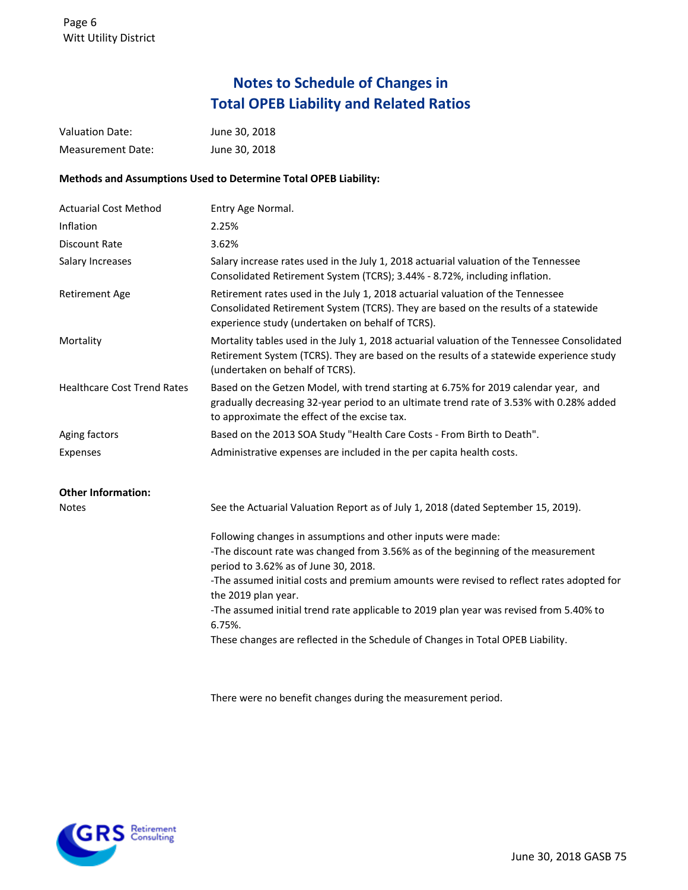# **Notes to Schedule of Changes in Total OPEB Liability and Related Ratios**

| <b>Valuation Date:</b>             | June 30, 2018                                                                                                                                                                                                                                                                                                                                                                                                                                                                                      |
|------------------------------------|----------------------------------------------------------------------------------------------------------------------------------------------------------------------------------------------------------------------------------------------------------------------------------------------------------------------------------------------------------------------------------------------------------------------------------------------------------------------------------------------------|
| <b>Measurement Date:</b>           | June 30, 2018                                                                                                                                                                                                                                                                                                                                                                                                                                                                                      |
|                                    | Methods and Assumptions Used to Determine Total OPEB Liability:                                                                                                                                                                                                                                                                                                                                                                                                                                    |
| <b>Actuarial Cost Method</b>       | Entry Age Normal.                                                                                                                                                                                                                                                                                                                                                                                                                                                                                  |
| Inflation                          | 2.25%                                                                                                                                                                                                                                                                                                                                                                                                                                                                                              |
| Discount Rate                      | 3.62%                                                                                                                                                                                                                                                                                                                                                                                                                                                                                              |
| Salary Increases                   | Salary increase rates used in the July 1, 2018 actuarial valuation of the Tennessee<br>Consolidated Retirement System (TCRS); 3.44% - 8.72%, including inflation.                                                                                                                                                                                                                                                                                                                                  |
| <b>Retirement Age</b>              | Retirement rates used in the July 1, 2018 actuarial valuation of the Tennessee<br>Consolidated Retirement System (TCRS). They are based on the results of a statewide<br>experience study (undertaken on behalf of TCRS).                                                                                                                                                                                                                                                                          |
| Mortality                          | Mortality tables used in the July 1, 2018 actuarial valuation of the Tennessee Consolidated<br>Retirement System (TCRS). They are based on the results of a statewide experience study<br>(undertaken on behalf of TCRS).                                                                                                                                                                                                                                                                          |
| <b>Healthcare Cost Trend Rates</b> | Based on the Getzen Model, with trend starting at 6.75% for 2019 calendar year, and<br>gradually decreasing 32-year period to an ultimate trend rate of 3.53% with 0.28% added<br>to approximate the effect of the excise tax.                                                                                                                                                                                                                                                                     |
| Aging factors                      | Based on the 2013 SOA Study "Health Care Costs - From Birth to Death".                                                                                                                                                                                                                                                                                                                                                                                                                             |
| Expenses                           | Administrative expenses are included in the per capita health costs.                                                                                                                                                                                                                                                                                                                                                                                                                               |
| <b>Other Information:</b>          |                                                                                                                                                                                                                                                                                                                                                                                                                                                                                                    |
| <b>Notes</b>                       | See the Actuarial Valuation Report as of July 1, 2018 (dated September 15, 2019).                                                                                                                                                                                                                                                                                                                                                                                                                  |
|                                    | Following changes in assumptions and other inputs were made:<br>-The discount rate was changed from 3.56% as of the beginning of the measurement<br>period to 3.62% as of June 30, 2018.<br>-The assumed initial costs and premium amounts were revised to reflect rates adopted for<br>the 2019 plan year.<br>-The assumed initial trend rate applicable to 2019 plan year was revised from 5.40% to<br>6.75%.<br>These changes are reflected in the Schedule of Changes in Total OPEB Liability. |

There were no benefit changes during the measurement period.

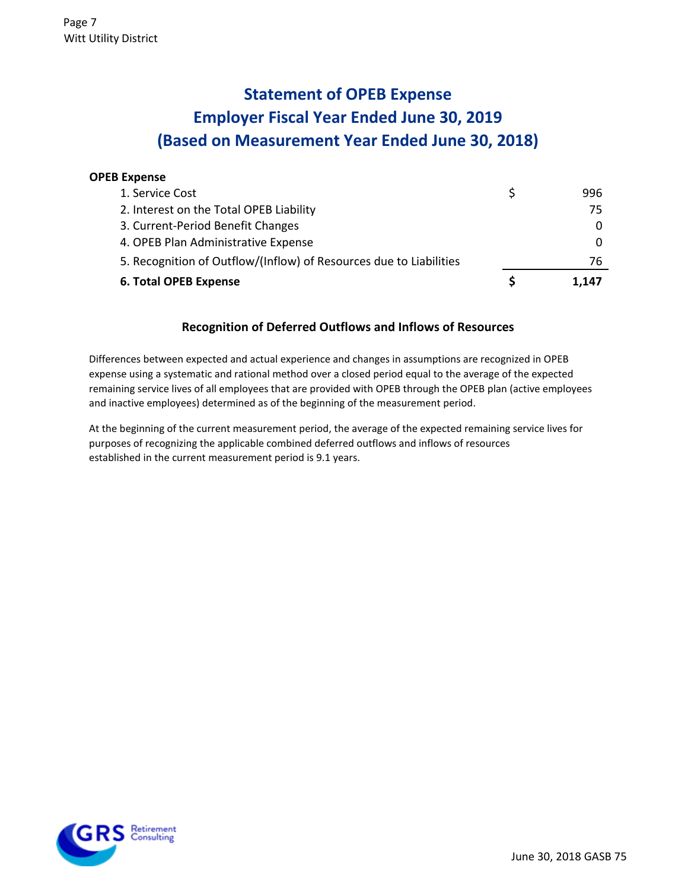# **Statement of OPEB Expense Employer Fiscal Year Ended June 30, 2019 (Based on Measurement Year Ended June 30, 2018)**

### **OPEB Expense**

| <b>6. Total OPEB Expense</b>                                       | 1.147 |
|--------------------------------------------------------------------|-------|
| 5. Recognition of Outflow/(Inflow) of Resources due to Liabilities | 76    |
| 4. OPEB Plan Administrative Expense                                |       |
| 3. Current-Period Benefit Changes                                  |       |
| 2. Interest on the Total OPEB Liability                            | 75    |
| 1. Service Cost                                                    | 996   |

### **Recognition of Deferred Outflows and Inflows of Resources**

Differences between expected and actual experience and changes in assumptions are recognized in OPEB expense using a systematic and rational method over a closed period equal to the average of the expected remaining service lives of all employees that are provided with OPEB through the OPEB plan (active employees and inactive employees) determined as of the beginning of the measurement period.

At the beginning of the current measurement period, the average of the expected remaining service lives for purposes of recognizing the applicable combined deferred outflows and inflows of resources established in the current measurement period is 9.1 years.

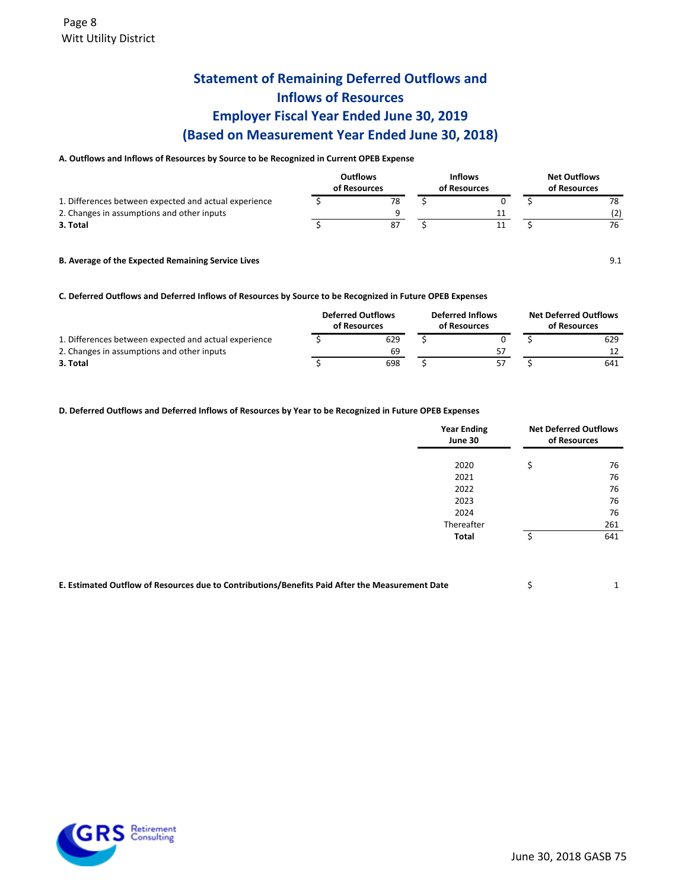## **Statement of Remaining Deferred Outflows and Inflows of Resources Employer Fiscal Year Ended June 30, 2019 (Based on Measurement Year Ended June 30, 2018)**

#### **A. Outflows and Inflows of Resources by Source to be Recognized in Current OPEB Expense**

|                                                       | <b>Outflows</b><br>of Resources | <b>Inflows</b><br>of Resources | <b>Net Outflows</b><br>of Resources |    |  |
|-------------------------------------------------------|---------------------------------|--------------------------------|-------------------------------------|----|--|
| 1. Differences between expected and actual experience | 78                              |                                |                                     | 78 |  |
| 2. Changes in assumptions and other inputs            |                                 | 11                             |                                     |    |  |
| 3. Total                                              | 87                              | 11                             |                                     | 76 |  |
|                                                       |                                 |                                |                                     |    |  |

**B. Average of the Expected Remaining Service Lives** 9.1

**C. Deferred Outflows and Deferred Inflows of Resources by Source to be Recognized in Future OPEB Expenses**

|                                                       | <b>Deferred Outflows</b><br>of Resources | <b>Deferred Inflows</b><br>of Resources |    | <b>Net Deferred Outflows</b><br>of Resources |     |  |
|-------------------------------------------------------|------------------------------------------|-----------------------------------------|----|----------------------------------------------|-----|--|
| 1. Differences between expected and actual experience | 629                                      |                                         |    |                                              | 629 |  |
| 2. Changes in assumptions and other inputs            | 69                                       |                                         | 57 |                                              |     |  |
| 3. Total                                              | 698                                      |                                         | 57 |                                              | 641 |  |

#### **D. Deferred Outflows and Deferred Inflows of Resources by Year to be Recognized in Future OPEB Expenses**

| <b>Year Ending</b><br>June 30 | <b>Net Deferred Outflows</b><br>of Resources |     |  |
|-------------------------------|----------------------------------------------|-----|--|
| 2020                          | \$                                           | 76  |  |
| 2021                          |                                              | 76  |  |
| 2022                          |                                              | 76  |  |
| 2023                          |                                              | 76  |  |
| 2024                          |                                              | 76  |  |
| Thereafter                    |                                              | 261 |  |
| <b>Total</b>                  |                                              | 641 |  |
|                               |                                              |     |  |

| E. Estimated Outflow of Resources due to Contributions/Benefits Paid After the Measurement Date |  |
|-------------------------------------------------------------------------------------------------|--|
|                                                                                                 |  |

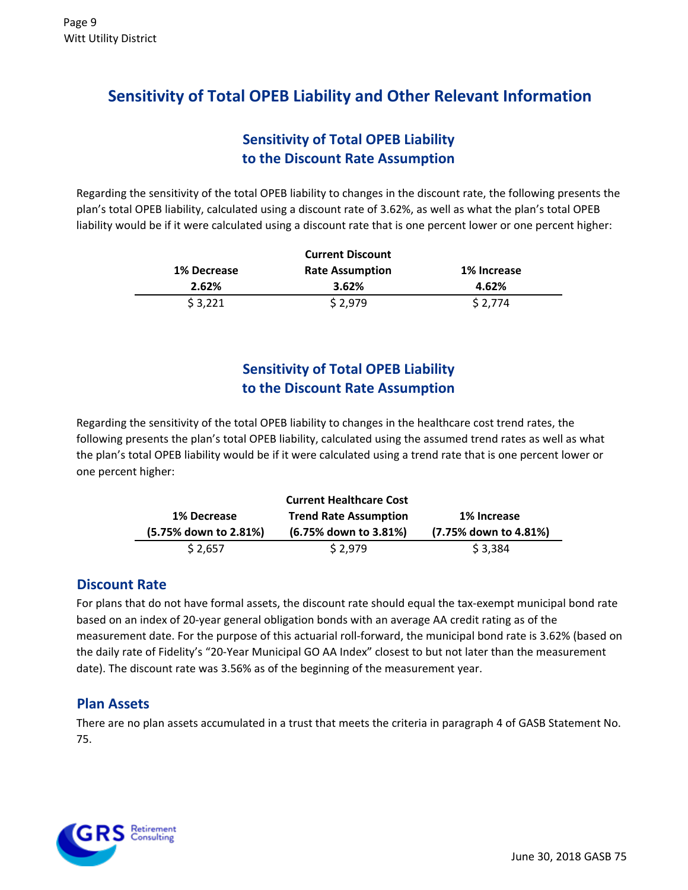# **Sensitivity of Total OPEB Liability and Other Relevant Information**

## **Sensitivity of Total OPEB Liability to the Discount Rate Assumption**

Regarding the sensitivity of the total OPEB liability to changes in the discount rate, the following presents the plan's total OPEB liability, calculated using a discount rate of 3.62%, as well as what the plan's total OPEB liability would be if it were calculated using a discount rate that is one percent lower or one percent higher:

|             | <b>Current Discount</b> |             |
|-------------|-------------------------|-------------|
| 1% Decrease | <b>Rate Assumption</b>  | 1% Increase |
| 2.62%       | 3.62%                   | 4.62%       |
| \$3,221     | \$2,979                 | \$2,774     |

# **Sensitivity of Total OPEB Liability to the Discount Rate Assumption**

Regarding the sensitivity of the total OPEB liability to changes in the healthcare cost trend rates, the following presents the plan's total OPEB liability, calculated using the assumed trend rates as well as what the plan's total OPEB liability would be if it were calculated using a trend rate that is one percent lower or one percent higher:

| <b>1% Decrease</b>    | <b>Trend Rate Assumption</b> | 1% Increase           |
|-----------------------|------------------------------|-----------------------|
|                       |                              |                       |
| (5.75% down to 2.81%) | (6.75% down to 3.81%)        | (7.75% down to 4.81%) |

### **Discount Rate**

For plans that do not have formal assets, the discount rate should equal the tax-exempt municipal bond rate based on an index of 20-year general obligation bonds with an average AA credit rating as of the measurement date. For the purpose of this actuarial roll-forward, the municipal bond rate is 3.62% (based on the daily rate of Fidelity's "20-Year Municipal GO AA Index" closest to but not later than the measurement date). The discount rate was 3.56% as of the beginning of the measurement year.

### **Plan Assets**

There are no plan assets accumulated in a trust that meets the criteria in paragraph 4 of GASB Statement No. 75.